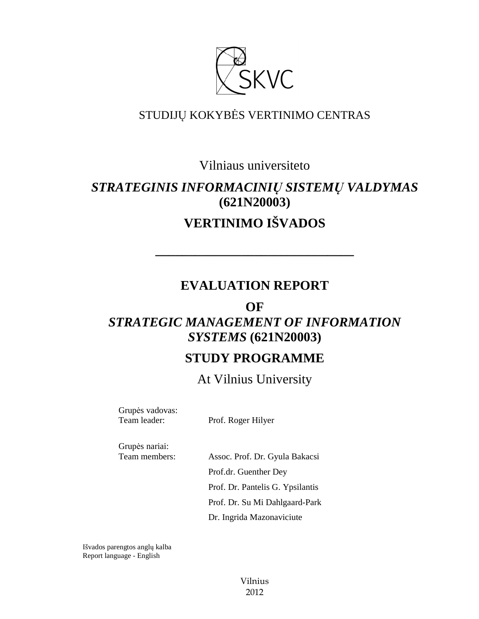

### STUDIJŲ KOKYBĖS VERTINIMO CENTRAS

Vilniaus universiteto

## *STRATEGINIS INFORMACINIŲ SISTEMŲ VALDYMAS*  **(621N20003)**

# **VERTINIMO IŠVADOS**

**––––––––––––––––––––––––––––––** 

## **EVALUATION REPORT**

# **OF**  *STRATEGIC MANAGEMENT OF INFORMATION SYSTEMS* **(621N20003)**

## **STUDY PROGRAMME**

At Vilnius University

Grupės vadovas:

Team leader: Prof. Roger Hilyer

Grupės nariai:

Team members: Assoc. Prof. Dr. Gyula Bakacsi Prof.dr. Guenther Dey Prof. Dr. Pantelis G. Ypsilantis Prof. Dr. Su Mi Dahlgaard-Park Dr. Ingrida Mazonaviciute

Išvados parengtos anglų kalba Report language - English

> Vilnius 2012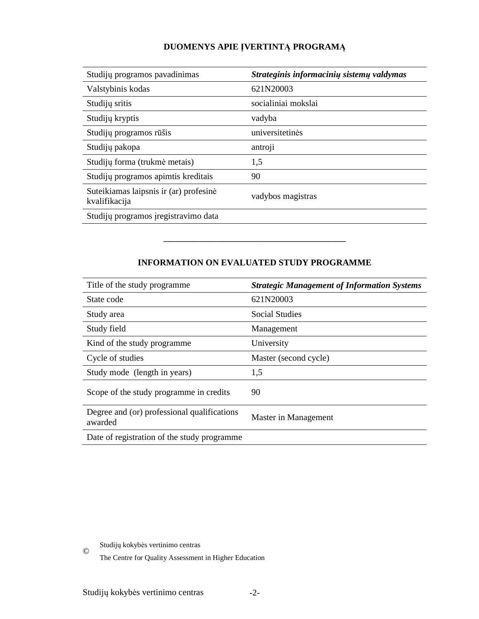### **DUOMENYS APIE ĮVERTINTĄ PROGRAMĄ**

| Studijų programos pavadinimas                           | Strateginis informacinių sistemų valdymas |
|---------------------------------------------------------|-------------------------------------------|
| Valstybinis kodas                                       | 621N20003                                 |
| Studijų sritis                                          | socialiniai mokslai                       |
| Studijų kryptis                                         | vadyba                                    |
| Studijų programos rūšis                                 | universitetinės                           |
| Studijų pakopa                                          | antroji                                   |
| Studijų forma (trukmė metais)                           | 1,5                                       |
| Studijų programos apimtis kreditais                     | 90                                        |
| Suteikiamas laipsnis ir (ar) profesinė<br>kvalifikacija | vadybos magistras                         |
| Studijų programos įregistravimo data                    |                                           |
|                                                         |                                           |

#### **INFORMATION ON EVALUATED STUDY PROGRAMME**

–––––––––––––––––––––––––––––––

| Title of the study programme.                          | <b>Strategic Management of Information Systems</b> |
|--------------------------------------------------------|----------------------------------------------------|
| State code                                             | 621N20003                                          |
| Study area                                             | Social Studies                                     |
| Study field                                            | Management                                         |
| Kind of the study programme                            | University                                         |
| Cycle of studies                                       | Master (second cycle)                              |
| Study mode (length in years)                           | 1,5                                                |
| Scope of the study programme in credits                | 90                                                 |
| Degree and (or) professional qualifications<br>awarded | Master in Management                               |
| Date of registration of the study programme            |                                                    |

Studijų kokybės vertinimo centras ©

The Centre for Quality Assessment in Higher Education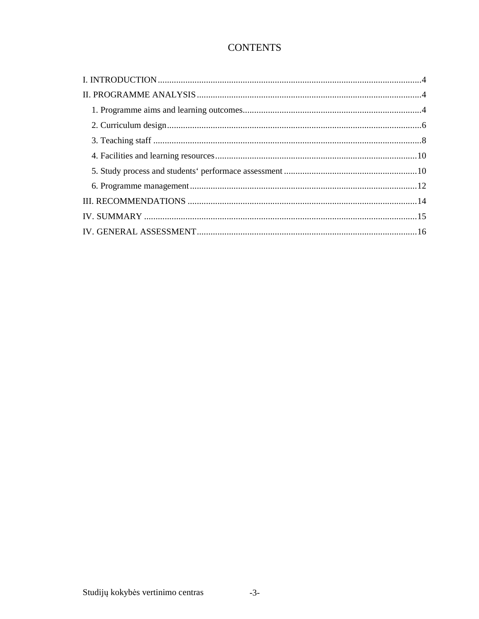### **CONTENTS**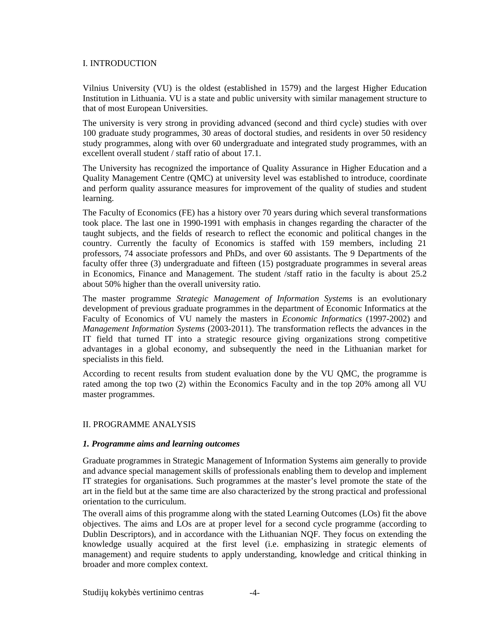#### I. INTRODUCTION

Vilnius University (VU) is the oldest (established in 1579) and the largest Higher Education Institution in Lithuania. VU is a state and public university with similar management structure to that of most European Universities.

The university is very strong in providing advanced (second and third cycle) studies with over 100 graduate study programmes, 30 areas of doctoral studies, and residents in over 50 residency study programmes, along with over 60 undergraduate and integrated study programmes, with an excellent overall student / staff ratio of about 17.1.

The University has recognized the importance of Quality Assurance in Higher Education and a Quality Management Centre (QMC) at university level was established to introduce, coordinate and perform quality assurance measures for improvement of the quality of studies and student learning.

The Faculty of Economics (FE) has a history over 70 years during which several transformations took place. The last one in 1990-1991 with emphasis in changes regarding the character of the taught subjects, and the fields of research to reflect the economic and political changes in the country. Currently the faculty of Economics is staffed with 159 members, including 21 professors, 74 associate professors and PhDs, and over 60 assistants. The 9 Departments of the faculty offer three (3) undergraduate and fifteen (15) postgraduate programmes in several areas in Economics, Finance and Management. The student /staff ratio in the faculty is about 25.2 about 50% higher than the overall university ratio.

The master programme *Strategic Management of Information Systems* is an evolutionary development of previous graduate programmes in the department of Economic Informatics at the Faculty of Economics of VU namely the masters in *Economic Informatics* (1997-2002) and *Management Information Systems* (2003-2011). The transformation reflects the advances in the IT field that turned IT into a strategic resource giving organizations strong competitive advantages in a global economy, and subsequently the need in the Lithuanian market for specialists in this field.

According to recent results from student evaluation done by the VU QMC, the programme is rated among the top two (2) within the Economics Faculty and in the top 20% among all VU master programmes.

#### II. PROGRAMME ANALYSIS

#### *1. Programme aims and learning outcomes*

Graduate programmes in Strategic Management of Information Systems aim generally to provide and advance special management skills of professionals enabling them to develop and implement IT strategies for organisations. Such programmes at the master's level promote the state of the art in the field but at the same time are also characterized by the strong practical and professional orientation to the curriculum.

The overall aims of this programme along with the stated Learning Outcomes (LOs) fit the above objectives. The aims and LOs are at proper level for a second cycle programme (according to Dublin Descriptors), and in accordance with the Lithuanian NQF. They focus on extending the knowledge usually acquired at the first level (i.e. emphasizing in strategic elements of management) and require students to apply understanding, knowledge and critical thinking in broader and more complex context.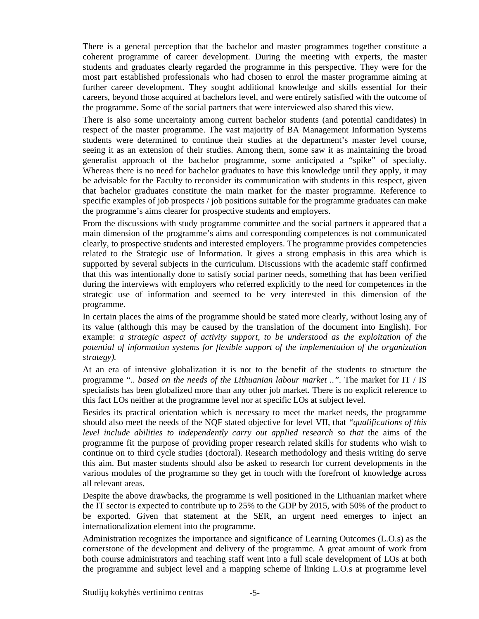There is a general perception that the bachelor and master programmes together constitute a coherent programme of career development. During the meeting with experts, the master students and graduates clearly regarded the programme in this perspective. They were for the most part established professionals who had chosen to enrol the master programme aiming at further career development. They sought additional knowledge and skills essential for their careers, beyond those acquired at bachelors level, and were entirely satisfied with the outcome of the programme. Some of the social partners that were interviewed also shared this view.

There is also some uncertainty among current bachelor students (and potential candidates) in respect of the master programme. The vast majority of BA Management Information Systems students were determined to continue their studies at the department's master level course, seeing it as an extension of their studies. Among them, some saw it as maintaining the broad generalist approach of the bachelor programme, some anticipated a "spike" of specialty. Whereas there is no need for bachelor graduates to have this knowledge until they apply, it may be advisable for the Faculty to reconsider its communication with students in this respect, given that bachelor graduates constitute the main market for the master programme. Reference to specific examples of job prospects / job positions suitable for the programme graduates can make the programme's aims clearer for prospective students and employers.

From the discussions with study programme committee and the social partners it appeared that a main dimension of the programme's aims and corresponding competences is not communicated clearly, to prospective students and interested employers. The programme provides competencies related to the Strategic use of Information. It gives a strong emphasis in this area which is supported by several subjects in the curriculum. Discussions with the academic staff confirmed that this was intentionally done to satisfy social partner needs, something that has been verified during the interviews with employers who referred explicitly to the need for competences in the strategic use of information and seemed to be very interested in this dimension of the programme.

In certain places the aims of the programme should be stated more clearly, without losing any of its value (although this may be caused by the translation of the document into English). For example: *a strategic aspect of activity support, to be understood as the exploitation of the potential of information systems for flexible support of the implementation of the organization strategy).* 

At an era of intensive globalization it is not to the benefit of the students to structure the programme ".. *based on the needs of the Lithuanian labour market ..".* The market for IT / IS specialists has been globalized more than any other job market. There is no explicit reference to this fact LOs neither at the programme level nor at specific LOs at subject level.

Besides its practical orientation which is necessary to meet the market needs, the programme should also meet the needs of the NQF stated objective for level VII, that *"qualifications of this level include abilities to independently carry out applied research so that* the aims of the programme fit the purpose of providing proper research related skills for students who wish to continue on to third cycle studies (doctoral). Research methodology and thesis writing do serve this aim. But master students should also be asked to research for current developments in the various modules of the programme so they get in touch with the forefront of knowledge across all relevant areas.

Despite the above drawbacks, the programme is well positioned in the Lithuanian market where the IT sector is expected to contribute up to 25% to the GDP by 2015, with 50% of the product to be exported. Given that statement at the SER, an urgent need emerges to inject an internationalization element into the programme.

Administration recognizes the importance and significance of Learning Outcomes (L.O.s) as the cornerstone of the development and delivery of the programme. A great amount of work from both course administrators and teaching staff went into a full scale development of LOs at both the programme and subject level and a mapping scheme of linking L.O.s at programme level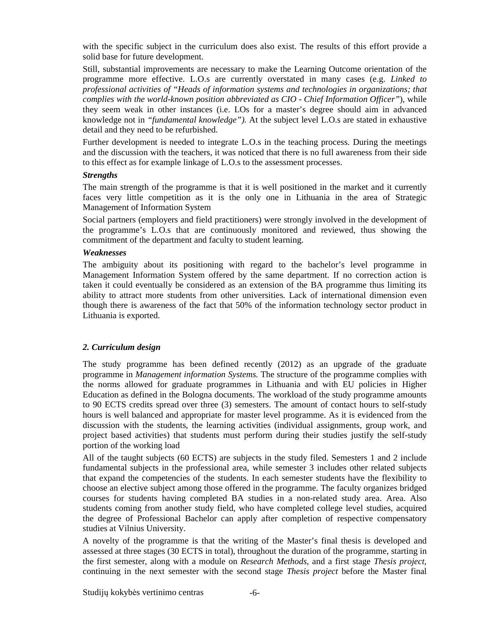with the specific subject in the curriculum does also exist. The results of this effort provide a solid base for future development.

Still, substantial improvements are necessary to make the Learning Outcome orientation of the programme more effective. L.O.s are currently overstated in many cases (e.g. *Linked to professional activities of "Heads of information systems and technologies in organizations; that complies with the world-known position abbreviated as CIO - Chief Information Officer"*), while they seem weak in other instances (i.e. LOs for a master's degree should aim in advanced knowledge not in *"fundamental knowledge").* At the subject level L.O.s are stated in exhaustive detail and they need to be refurbished.

Further development is needed to integrate L.O.s in the teaching process. During the meetings and the discussion with the teachers, it was noticed that there is no full awareness from their side to this effect as for example linkage of L.O.s to the assessment processes.

#### *Strengths*

The main strength of the programme is that it is well positioned in the market and it currently faces very little competition as it is the only one in Lithuania in the area of Strategic Management of Information System

Social partners (employers and field practitioners) were strongly involved in the development of the programme's L.O.s that are continuously monitored and reviewed, thus showing the commitment of the department and faculty to student learning.

#### *Weaknesses*

The ambiguity about its positioning with regard to the bachelor's level programme in Management Information System offered by the same department. If no correction action is taken it could eventually be considered as an extension of the BA programme thus limiting its ability to attract more students from other universities. Lack of international dimension even though there is awareness of the fact that 50% of the information technology sector product in Lithuania is exported.

#### *2. Curriculum design*

The study programme has been defined recently (2012) as an upgrade of the graduate programme in *Management information Systems.* The structure of the programme complies with the norms allowed for graduate programmes in Lithuania and with EU policies in Higher Education as defined in the Bologna documents. The workload of the study programme amounts to 90 ECTS credits spread over three (3) semesters. The amount of contact hours to self-study hours is well balanced and appropriate for master level programme. As it is evidenced from the discussion with the students, the learning activities (individual assignments, group work, and project based activities) that students must perform during their studies justify the self-study portion of the working load

All of the taught subjects (60 ECTS) are subjects in the study filed. Semesters 1 and 2 include fundamental subjects in the professional area, while semester 3 includes other related subjects that expand the competencies of the students. In each semester students have the flexibility to choose an elective subject among those offered in the programme. The faculty organizes bridged courses for students having completed BA studies in a non-related study area. Area. Also students coming from another study field, who have completed college level studies, acquired the degree of Professional Bachelor can apply after completion of respective compensatory studies at Vilnius University.

A novelty of the programme is that the writing of the Master's final thesis is developed and assessed at three stages (30 ECTS in total), throughout the duration of the programme, starting in the first semester, along with a module on *Research Methods,* and a first stage *Thesis project,*  continuing in the next semester with the second stage *Thesis project* before the Master final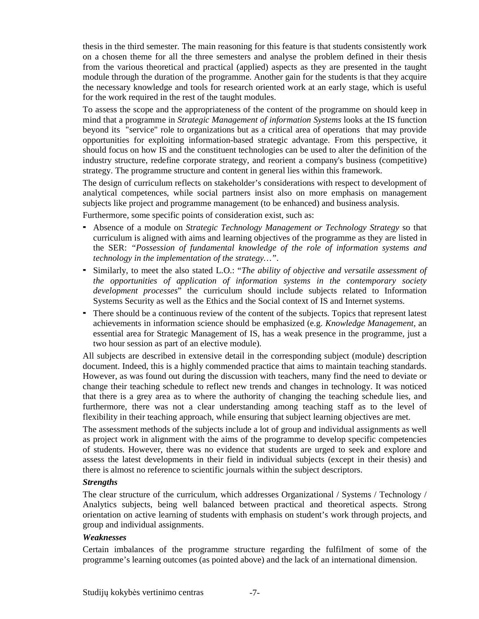thesis in the third semester*.* The main reasoning for this feature is that students consistently work on a chosen theme for all the three semesters and analyse the problem defined in their thesis from the various theoretical and practical (applied) aspects as they are presented in the taught module through the duration of the programme. Another gain for the students is that they acquire the necessary knowledge and tools for research oriented work at an early stage, which is useful for the work required in the rest of the taught modules.

To assess the scope and the appropriateness of the content of the programme on should keep in mind that a programme in *Strategic Management of information Systems* looks at the IS function beyond its "service" role to organizations but as a critical area of operations that may provide opportunities for exploiting information-based strategic advantage. From this perspective, it should focus on how IS and the constituent technologies can be used to alter the definition of the industry structure, redefine corporate strategy, and reorient a company's business (competitive) strategy. The programme structure and content in general lies within this framework.

The design of curriculum reflects on stakeholder's considerations with respect to development of analytical competences, while social partners insist also on more emphasis on management subjects like project and programme management (to be enhanced) and business analysis.

Furthermore, some specific points of consideration exist, such as:

- Absence of a module on *Strategic Technology Management or Technology Strategy* so that curriculum is aligned with aims and learning objectives of the programme as they are listed in the SER: *"Possession of fundamental knowledge of the role of information systems and technology in the implementation of the strategy…"*.
- Similarly, to meet the also stated L.O.: "*The ability of objective and versatile assessment of the opportunities of application of information systems in the contemporary society development processes*" the curriculum should include subjects related to Information Systems Security as well as the Ethics and the Social context of IS and Internet systems.
- There should be a continuous review of the content of the subjects. Topics that represent latest achievements in information science should be emphasized (e.g. *Knowledge Management,* an essential area for Strategic Management of IS, has a weak presence in the programme, just a two hour session as part of an elective module).

All subjects are described in extensive detail in the corresponding subject (module) description document. Indeed, this is a highly commended practice that aims to maintain teaching standards. However, as was found out during the discussion with teachers, many find the need to deviate or change their teaching schedule to reflect new trends and changes in technology. It was noticed that there is a grey area as to where the authority of changing the teaching schedule lies, and furthermore, there was not a clear understanding among teaching staff as to the level of flexibility in their teaching approach, while ensuring that subject learning objectives are met.

The assessment methods of the subjects include a lot of group and individual assignments as well as project work in alignment with the aims of the programme to develop specific competencies of students. However, there was no evidence that students are urged to seek and explore and assess the latest developments in their field in individual subjects (except in their thesis) and there is almost no reference to scientific journals within the subject descriptors.

#### *Strengths*

The clear structure of the curriculum, which addresses Organizational / Systems / Technology / Analytics subjects, being well balanced between practical and theoretical aspects. Strong orientation on active learning of students with emphasis on student's work through projects, and group and individual assignments.

#### *Weaknesses*

Certain imbalances of the programme structure regarding the fulfilment of some of the programme's learning outcomes (as pointed above) and the lack of an international dimension.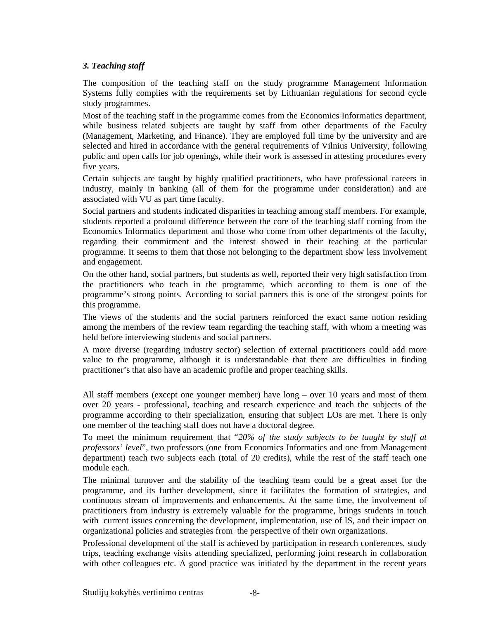#### *3. Teaching staff*

The composition of the teaching staff on the study programme Management Information Systems fully complies with the requirements set by Lithuanian regulations for second cycle study programmes.

Most of the teaching staff in the programme comes from the Economics Informatics department, while business related subjects are taught by staff from other departments of the Faculty (Management, Marketing, and Finance). They are employed full time by the university and are selected and hired in accordance with the general requirements of Vilnius University, following public and open calls for job openings, while their work is assessed in attesting procedures every five years.

Certain subjects are taught by highly qualified practitioners, who have professional careers in industry, mainly in banking (all of them for the programme under consideration) and are associated with VU as part time faculty.

Social partners and students indicated disparities in teaching among staff members. For example, students reported a profound difference between the core of the teaching staff coming from the Economics Informatics department and those who come from other departments of the faculty, regarding their commitment and the interest showed in their teaching at the particular programme. It seems to them that those not belonging to the department show less involvement and engagement.

On the other hand, social partners, but students as well, reported their very high satisfaction from the practitioners who teach in the programme, which according to them is one of the programme's strong points. According to social partners this is one of the strongest points for this programme.

The views of the students and the social partners reinforced the exact same notion residing among the members of the review team regarding the teaching staff, with whom a meeting was held before interviewing students and social partners.

A more diverse (regarding industry sector) selection of external practitioners could add more value to the programme, although it is understandable that there are difficulties in finding practitioner's that also have an academic profile and proper teaching skills.

All staff members (except one younger member) have long – over 10 years and most of them over 20 years - professional, teaching and research experience and teach the subjects of the programme according to their specialization, ensuring that subject LOs are met. There is only one member of the teaching staff does not have a doctoral degree.

To meet the minimum requirement that "*20% of the study subjects to be taught by staff at professors' level*", two professors (one from Economics Informatics and one from Management department) teach two subjects each (total of 20 credits), while the rest of the staff teach one module each.

The minimal turnover and the stability of the teaching team could be a great asset for the programme, and its further development, since it facilitates the formation of strategies, and continuous stream of improvements and enhancements. At the same time, the involvement of practitioners from industry is extremely valuable for the programme, brings students in touch with current issues concerning the development, implementation, use of IS, and their impact on organizational policies and strategies from the perspective of their own organizations.

Professional development of the staff is achieved by participation in research conferences, study trips, teaching exchange visits attending specialized, performing joint research in collaboration with other colleagues etc. A good practice was initiated by the department in the recent years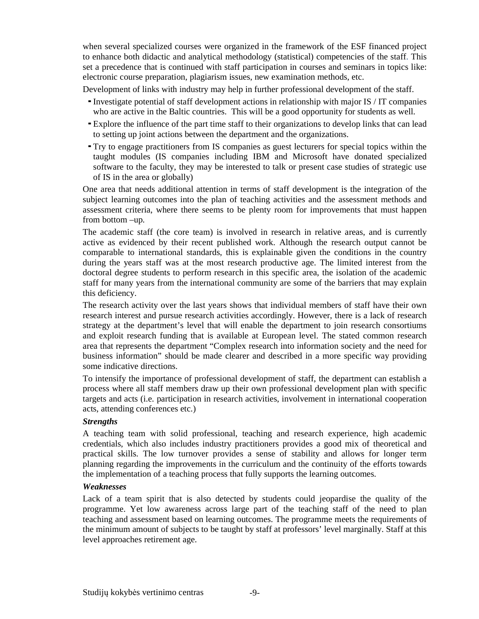when several specialized courses were organized in the framework of the ESF financed project to enhance both didactic and analytical methodology (statistical) competencies of the staff. This set a precedence that is continued with staff participation in courses and seminars in topics like: electronic course preparation, plagiarism issues, new examination methods, etc.

Development of links with industry may help in further professional development of the staff.

- Investigate potential of staff development actions in relationship with major IS / IT companies who are active in the Baltic countries. This will be a good opportunity for students as well.
- Explore the influence of the part time staff to their organizations to develop links that can lead to setting up joint actions between the department and the organizations.
- Try to engage practitioners from IS companies as guest lecturers for special topics within the taught modules (IS companies including IBM and Microsoft have donated specialized software to the faculty, they may be interested to talk or present case studies of strategic use of IS in the area or globally)

One area that needs additional attention in terms of staff development is the integration of the subject learning outcomes into the plan of teaching activities and the assessment methods and assessment criteria, where there seems to be plenty room for improvements that must happen from bottom –up.

The academic staff (the core team) is involved in research in relative areas, and is currently active as evidenced by their recent published work. Although the research output cannot be comparable to international standards, this is explainable given the conditions in the country during the years staff was at the most research productive age. The limited interest from the doctoral degree students to perform research in this specific area, the isolation of the academic staff for many years from the international community are some of the barriers that may explain this deficiency.

The research activity over the last years shows that individual members of staff have their own research interest and pursue research activities accordingly. However, there is a lack of research strategy at the department's level that will enable the department to join research consortiums and exploit research funding that is available at European level. The stated common research area that represents the department "Complex research into information society and the need for business information" should be made clearer and described in a more specific way providing some indicative directions.

To intensify the importance of professional development of staff, the department can establish a process where all staff members draw up their own professional development plan with specific targets and acts (i.e. participation in research activities, involvement in international cooperation acts, attending conferences etc.)

#### *Strengths*

A teaching team with solid professional, teaching and research experience, high academic credentials, which also includes industry practitioners provides a good mix of theoretical and practical skills. The low turnover provides a sense of stability and allows for longer term planning regarding the improvements in the curriculum and the continuity of the efforts towards the implementation of a teaching process that fully supports the learning outcomes.

#### *Weaknesses*

Lack of a team spirit that is also detected by students could jeopardise the quality of the programme. Yet low awareness across large part of the teaching staff of the need to plan teaching and assessment based on learning outcomes. The programme meets the requirements of the minimum amount of subjects to be taught by staff at professors' level marginally. Staff at this level approaches retirement age.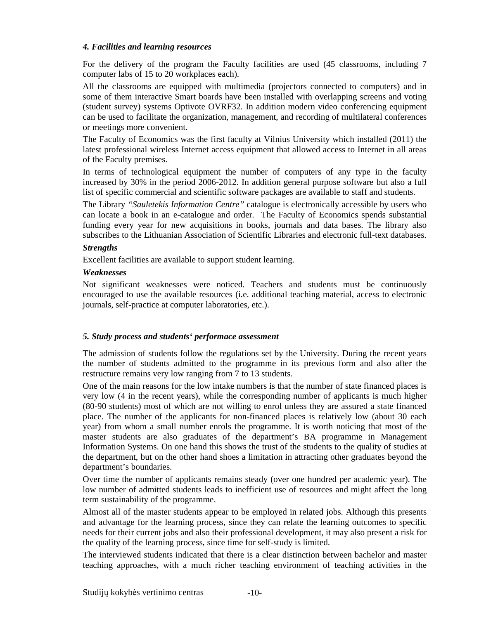#### *4. Facilities and learning resources*

For the delivery of the program the Faculty facilities are used (45 classrooms, including 7 computer labs of 15 to 20 workplaces each).

All the classrooms are equipped with multimedia (projectors connected to computers) and in some of them interactive Smart boards have been installed with overlapping screens and voting (student survey) systems Optivote OVRF32. In addition modern video conferencing equipment can be used to facilitate the organization, management, and recording of multilateral conferences or meetings more convenient.

The Faculty of Economics was the first faculty at Vilnius University which installed (2011) the latest professional wireless Internet access equipment that allowed access to Internet in all areas of the Faculty premises.

In terms of technological equipment the number of computers of any type in the faculty increased by 30% in the period 2006-2012. In addition general purpose software but also a full list of specific commercial and scientific software packages are available to staff and students.

The Library *"Sauletekis Information Centre"* catalogue is electronically accessible by users who can locate a book in an e-catalogue and order. The Faculty of Economics spends substantial funding every year for new acquisitions in books, journals and data bases. The library also subscribes to the Lithuanian Association of Scientific Libraries and electronic full-text databases.

#### *Strengths*

Excellent facilities are available to support student learning.

#### *Weaknesses*

Not significant weaknesses were noticed. Teachers and students must be continuously encouraged to use the available resources (i.e. additional teaching material, access to electronic journals, self-practice at computer laboratories, etc.).

#### *5. Study process and students' performace assessment*

The admission of students follow the regulations set by the University. During the recent years the number of students admitted to the programme in its previous form and also after the restructure remains very low ranging from 7 to 13 students.

One of the main reasons for the low intake numbers is that the number of state financed places is very low (4 in the recent years), while the corresponding number of applicants is much higher (80-90 students) most of which are not willing to enrol unless they are assured a state financed place. The number of the applicants for non-financed places is relatively low (about 30 each year) from whom a small number enrols the programme. It is worth noticing that most of the master students are also graduates of the department's BA programme in Management Information Systems. On one hand this shows the trust of the students to the quality of studies at the department, but on the other hand shoes a limitation in attracting other graduates beyond the department's boundaries.

Over time the number of applicants remains steady (over one hundred per academic year). The low number of admitted students leads to inefficient use of resources and might affect the long term sustainability of the programme.

Almost all of the master students appear to be employed in related jobs. Although this presents and advantage for the learning process, since they can relate the learning outcomes to specific needs for their current jobs and also their professional development, it may also present a risk for the quality of the learning process, since time for self-study is limited.

The interviewed students indicated that there is a clear distinction between bachelor and master teaching approaches, with a much richer teaching environment of teaching activities in the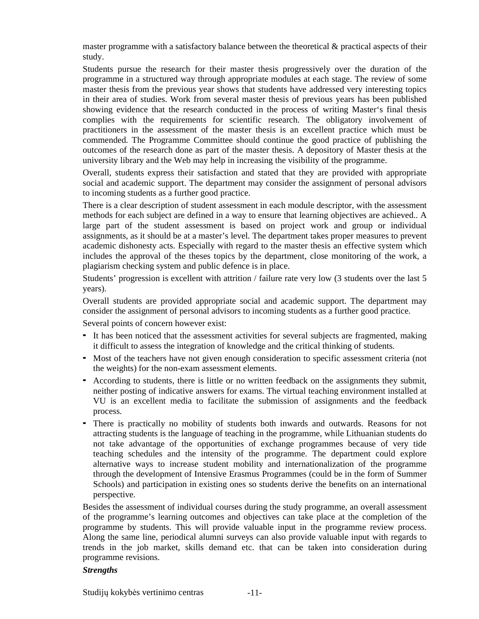master programme with a satisfactory balance between the theoretical & practical aspects of their study.

Students pursue the research for their master thesis progressively over the duration of the programme in a structured way through appropriate modules at each stage. The review of some master thesis from the previous year shows that students have addressed very interesting topics in their area of studies. Work from several master thesis of previous years has been published showing evidence that the research conducted in the process of writing Master's final thesis complies with the requirements for scientific research. The obligatory involvement of practitioners in the assessment of the master thesis is an excellent practice which must be commended. The Programme Committee should continue the good practice of publishing the outcomes of the research done as part of the master thesis. A depository of Master thesis at the university library and the Web may help in increasing the visibility of the programme.

Overall, students express their satisfaction and stated that they are provided with appropriate social and academic support. The department may consider the assignment of personal advisors to incoming students as a further good practice.

There is a clear description of student assessment in each module descriptor, with the assessment methods for each subject are defined in a way to ensure that learning objectives are achieved.. A large part of the student assessment is based on project work and group or individual assignments, as it should be at a master's level. The department takes proper measures to prevent academic dishonesty acts. Especially with regard to the master thesis an effective system which includes the approval of the theses topics by the department, close monitoring of the work, a plagiarism checking system and public defence is in place.

Students' progression is excellent with attrition / failure rate very low (3 students over the last 5 years).

Overall students are provided appropriate social and academic support. The department may consider the assignment of personal advisors to incoming students as a further good practice.

Several points of concern however exist:

- It has been noticed that the assessment activities for several subjects are fragmented, making it difficult to assess the integration of knowledge and the critical thinking of students.
- Most of the teachers have not given enough consideration to specific assessment criteria (not the weights) for the non-exam assessment elements.
- According to students, there is little or no written feedback on the assignments they submit, neither posting of indicative answers for exams. The virtual teaching environment installed at VU is an excellent media to facilitate the submission of assignments and the feedback process.
- There is practically no mobility of students both inwards and outwards. Reasons for not attracting students is the language of teaching in the programme, while Lithuanian students do not take advantage of the opportunities of exchange programmes because of very tide teaching schedules and the intensity of the programme. The department could explore alternative ways to increase student mobility and internationalization of the programme through the development of Intensive Erasmus Programmes (could be in the form of Summer Schools) and participation in existing ones so students derive the benefits on an international perspective.

Besides the assessment of individual courses during the study programme, an overall assessment of the programme's learning outcomes and objectives can take place at the completion of the programme by students. This will provide valuable input in the programme review process. Along the same line, periodical alumni surveys can also provide valuable input with regards to trends in the job market, skills demand etc. that can be taken into consideration during programme revisions.

#### *Strengths*

Studijų kokybės vertinimo centras -11-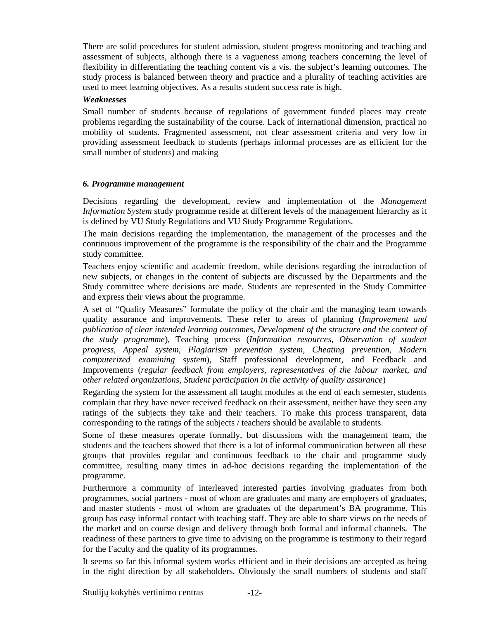There are solid procedures for student admission, student progress monitoring and teaching and assessment of subjects, although there is a vagueness among teachers concerning the level of flexibility in differentiating the teaching content vis a vis. the subject's learning outcomes. The study process is balanced between theory and practice and a plurality of teaching activities are used to meet learning objectives. As a results student success rate is high.

#### *Weaknesses*

Small number of students because of regulations of government funded places may create problems regarding the sustainability of the course. Lack of international dimension, practical no mobility of students. Fragmented assessment, not clear assessment criteria and very low in providing assessment feedback to students (perhaps informal processes are as efficient for the small number of students) and making

#### *6. Programme management*

Decisions regarding the development, review and implementation of the *Management Information System* study programme reside at different levels of the management hierarchy as it is defined by VU Study Regulations and VU Study Programme Regulations.

The main decisions regarding the implementation, the management of the processes and the continuous improvement of the programme is the responsibility of the chair and the Programme study committee.

Teachers enjoy scientific and academic freedom, while decisions regarding the introduction of new subjects, or changes in the content of subjects are discussed by the Departments and the Study committee where decisions are made. Students are represented in the Study Committee and express their views about the programme.

A set of "Quality Measures" formulate the policy of the chair and the managing team towards quality assurance and improvements. These refer to areas of planning (*Improvement and publication of clear intended learning outcomes, Development of the structure and the content of the study programme*), Teaching process (*Information resources, Observation of student progress, Appeal system, Plagiarism prevention system, Cheating prevention, Modern computerized examining system*), Staff professional development, and Feedback and Improvements (*regular feedback from employers, representatives of the labour market, and other related organizations, Student participation in the activity of quality assurance*)

Regarding the system for the assessment all taught modules at the end of each semester, students complain that they have never received feedback on their assessment, neither have they seen any ratings of the subjects they take and their teachers. To make this process transparent, data corresponding to the ratings of the subjects / teachers should be available to students.

Some of these measures operate formally, but discussions with the management team, the students and the teachers showed that there is a lot of informal communication between all these groups that provides regular and continuous feedback to the chair and programme study committee, resulting many times in ad-hoc decisions regarding the implementation of the programme.

Furthermore a community of interleaved interested parties involving graduates from both programmes, social partners - most of whom are graduates and many are employers of graduates, and master students - most of whom are graduates of the department's BA programme. This group has easy informal contact with teaching staff. They are able to share views on the needs of the market and on course design and delivery through both formal and informal channels. The readiness of these partners to give time to advising on the programme is testimony to their regard for the Faculty and the quality of its programmes.

It seems so far this informal system works efficient and in their decisions are accepted as being in the right direction by all stakeholders. Obviously the small numbers of students and staff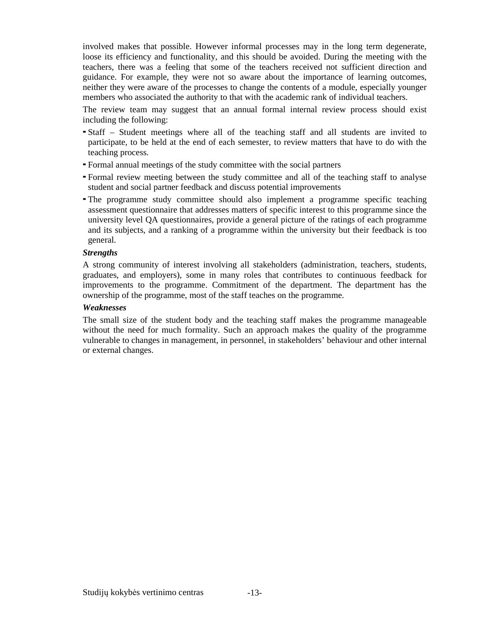involved makes that possible. However informal processes may in the long term degenerate, loose its efficiency and functionality, and this should be avoided. During the meeting with the teachers, there was a feeling that some of the teachers received not sufficient direction and guidance. For example, they were not so aware about the importance of learning outcomes, neither they were aware of the processes to change the contents of a module, especially younger members who associated the authority to that with the academic rank of individual teachers.

The review team may suggest that an annual formal internal review process should exist including the following:

- Staff Student meetings where all of the teaching staff and all students are invited to participate, to be held at the end of each semester, to review matters that have to do with the teaching process.
- Formal annual meetings of the study committee with the social partners
- Formal review meeting between the study committee and all of the teaching staff to analyse student and social partner feedback and discuss potential improvements
- The programme study committee should also implement a programme specific teaching assessment questionnaire that addresses matters of specific interest to this programme since the university level QA questionnaires, provide a general picture of the ratings of each programme and its subjects, and a ranking of a programme within the university but their feedback is too general.

#### *Strengths*

A strong community of interest involving all stakeholders (administration, teachers, students, graduates, and employers), some in many roles that contributes to continuous feedback for improvements to the programme. Commitment of the department. The department has the ownership of the programme, most of the staff teaches on the programme.

#### *Weaknesses*

The small size of the student body and the teaching staff makes the programme manageable without the need for much formality. Such an approach makes the quality of the programme vulnerable to changes in management, in personnel, in stakeholders' behaviour and other internal or external changes.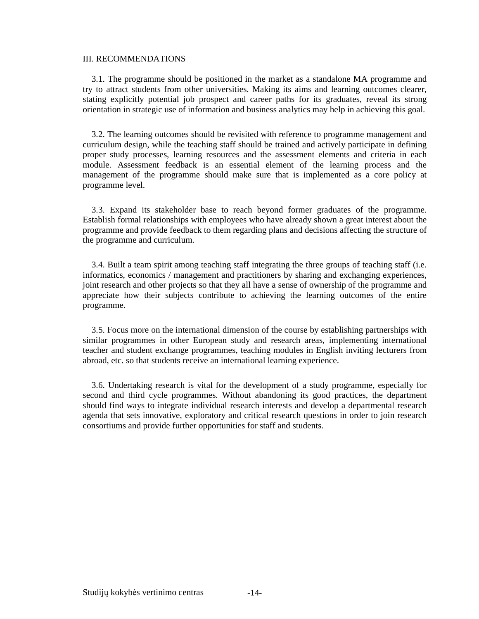#### III. RECOMMENDATIONS

 3.1. The programme should be positioned in the market as a standalone MA programme and try to attract students from other universities. Making its aims and learning outcomes clearer, stating explicitly potential job prospect and career paths for its graduates, reveal its strong orientation in strategic use of information and business analytics may help in achieving this goal.

 3.2. The learning outcomes should be revisited with reference to programme management and curriculum design, while the teaching staff should be trained and actively participate in defining proper study processes, learning resources and the assessment elements and criteria in each module. Assessment feedback is an essential element of the learning process and the management of the programme should make sure that is implemented as a core policy at programme level.

 3.3. Expand its stakeholder base to reach beyond former graduates of the programme. Establish formal relationships with employees who have already shown a great interest about the programme and provide feedback to them regarding plans and decisions affecting the structure of the programme and curriculum.

 3.4. Built a team spirit among teaching staff integrating the three groups of teaching staff (i.e. informatics, economics / management and practitioners by sharing and exchanging experiences, joint research and other projects so that they all have a sense of ownership of the programme and appreciate how their subjects contribute to achieving the learning outcomes of the entire programme.

 3.5. Focus more on the international dimension of the course by establishing partnerships with similar programmes in other European study and research areas, implementing international teacher and student exchange programmes, teaching modules in English inviting lecturers from abroad, etc. so that students receive an international learning experience.

 3.6. Undertaking research is vital for the development of a study programme, especially for second and third cycle programmes. Without abandoning its good practices, the department should find ways to integrate individual research interests and develop a departmental research agenda that sets innovative, exploratory and critical research questions in order to join research consortiums and provide further opportunities for staff and students.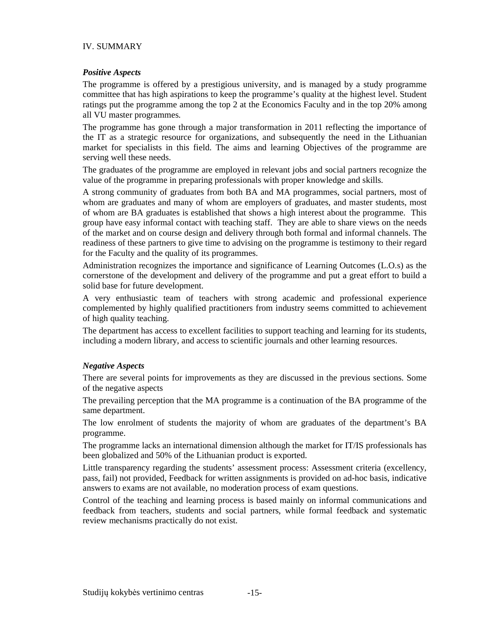#### IV. SUMMARY

#### *Positive Aspects*

The programme is offered by a prestigious university, and is managed by a study programme committee that has high aspirations to keep the programme's quality at the highest level. Student ratings put the programme among the top 2 at the Economics Faculty and in the top 20% among all VU master programmes.

The programme has gone through a major transformation in 2011 reflecting the importance of the IT as a strategic resource for organizations, and subsequently the need in the Lithuanian market for specialists in this field. The aims and learning Objectives of the programme are serving well these needs.

The graduates of the programme are employed in relevant jobs and social partners recognize the value of the programme in preparing professionals with proper knowledge and skills.

A strong community of graduates from both BA and MA programmes, social partners, most of whom are graduates and many of whom are employers of graduates, and master students, most of whom are BA graduates is established that shows a high interest about the programme. This group have easy informal contact with teaching staff. They are able to share views on the needs of the market and on course design and delivery through both formal and informal channels. The readiness of these partners to give time to advising on the programme is testimony to their regard for the Faculty and the quality of its programmes.

Administration recognizes the importance and significance of Learning Outcomes (L.O.s) as the cornerstone of the development and delivery of the programme and put a great effort to build a solid base for future development.

A very enthusiastic team of teachers with strong academic and professional experience complemented by highly qualified practitioners from industry seems committed to achievement of high quality teaching.

The department has access to excellent facilities to support teaching and learning for its students, including a modern library, and access to scientific journals and other learning resources.

#### *Negative Aspects*

There are several points for improvements as they are discussed in the previous sections. Some of the negative aspects

The prevailing perception that the MA programme is a continuation of the BA programme of the same department.

The low enrolment of students the majority of whom are graduates of the department's BA programme.

The programme lacks an international dimension although the market for IT/IS professionals has been globalized and 50% of the Lithuanian product is exported.

Little transparency regarding the students' assessment process: Assessment criteria (excellency, pass, fail) not provided, Feedback for written assignments is provided on ad-hoc basis, indicative answers to exams are not available, no moderation process of exam questions.

Control of the teaching and learning process is based mainly on informal communications and feedback from teachers, students and social partners, while formal feedback and systematic review mechanisms practically do not exist.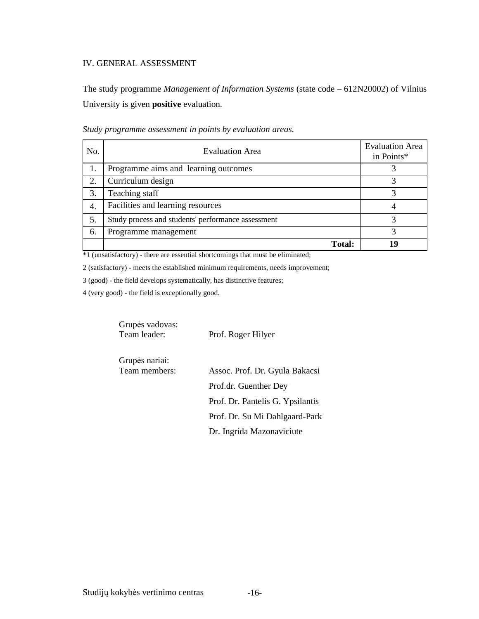#### IV. GENERAL ASSESSMENT

The study programme *Management of Information Systems* (state code – 612N20002) of Vilnius University is given **positive** evaluation.

| No. | <b>Evaluation Area</b>                             | <b>Evaluation Area</b><br>in Points* |
|-----|----------------------------------------------------|--------------------------------------|
|     | Programme aims and learning outcomes               |                                      |
| 2.  | Curriculum design                                  |                                      |
| 3.  | Teaching staff                                     |                                      |
| 4.  | Facilities and learning resources                  |                                      |
| 5.  | Study process and students' performance assessment |                                      |
| 6.  | Programme management                               |                                      |
|     | <b>Total:</b>                                      | ١q                                   |

*Study programme assessment in points by evaluation areas*.

\*1 (unsatisfactory) - there are essential shortcomings that must be eliminated;

2 (satisfactory) - meets the established minimum requirements, needs improvement;

3 (good) - the field develops systematically, has distinctive features;

4 (very good) - the field is exceptionally good.

Grupės nariai:

 Grupės vadovas: Team leader: Prof. Roger Hilyer

| Orupos narian. |                                  |
|----------------|----------------------------------|
| Team members:  | Assoc. Prof. Dr. Gyula Bakacsi   |
|                | Prof.dr. Guenther Dey            |
|                | Prof. Dr. Pantelis G. Ypsilantis |
|                | Prof. Dr. Su Mi Dahlgaard-Park   |
|                | Dr. Ingrida Mazonaviciute        |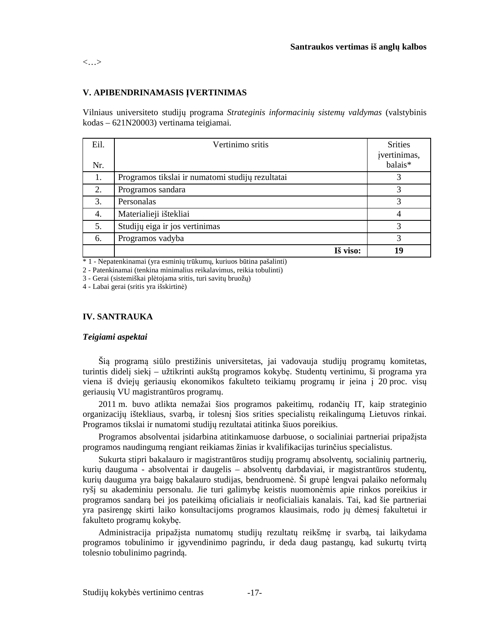<…>

#### **V. APIBENDRINAMASIS ĮVERTINIMAS**

Vilniaus universiteto studijų programa *Strateginis informacinių sistemų valdymas* (valstybinis kodas – 621N20003) vertinama teigiamai.

| Eil. | Vertinimo sritis                                 | <b>Srities</b><br>įvertinimas, |
|------|--------------------------------------------------|--------------------------------|
| Nr.  |                                                  | balais*                        |
| 1.   | Programos tikslai ir numatomi studijų rezultatai |                                |
| 2.   | Programos sandara                                | 3                              |
| 3.   | Personalas                                       | 3                              |
| 4.   | Materialieji ištekliai                           |                                |
| 5.   | Studijų eiga ir jos vertinimas                   | 3                              |
| 6.   | Programos vadyba                                 | 3                              |
|      | Iš viso:                                         | 19                             |

\* 1 - Nepatenkinamai (yra esminių trūkumų, kuriuos būtina pašalinti)

2 - Patenkinamai (tenkina minimalius reikalavimus, reikia tobulinti)

3 - Gerai (sistemiškai plėtojama sritis, turi savitų bruožų)

4 - Labai gerai (sritis yra išskirtinė)

#### **IV. SANTRAUKA**

#### *Teigiami aspektai*

Šią programą siūlo prestižinis universitetas, jai vadovauja studijų programų komitetas, turintis didelį siekį – užtikrinti aukštą programos kokybę. Studentų vertinimu, ši programa yra viena iš dviejų geriausių ekonomikos fakulteto teikiamų programų ir įeina į 20 proc. visų geriausių VU magistrantūros programų.

2011 m. buvo atlikta nemažai šios programos pakeitimų, rodančių IT, kaip strateginio organizacijų ištekliaus, svarbą, ir tolesnį šios srities specialistų reikalingumą Lietuvos rinkai. Programos tikslai ir numatomi studijų rezultatai atitinka šiuos poreikius.

Programos absolventai įsidarbina atitinkamuose darbuose, o socialiniai partneriai pripažįsta programos naudingumą rengiant reikiamas žinias ir kvalifikacijas turinčius specialistus.

Sukurta stipri bakalauro ir magistrantūros studijų programų absolventų, socialinių partnerių, kurių dauguma - absolventai ir daugelis – absolventų darbdaviai, ir magistrantūros studentų, kurių dauguma yra baigę bakalauro studijas, bendruomenė. Ši grupė lengvai palaiko neformalų ryšį su akademiniu personalu. Jie turi galimybę keistis nuomonėmis apie rinkos poreikius ir programos sandarą bei jos pateikimą oficialiais ir neoficialiais kanalais. Tai, kad šie partneriai yra pasirengę skirti laiko konsultacijoms programos klausimais, rodo jų dėmesį fakultetui ir fakulteto programų kokybę.

Administracija pripažįsta numatomų studijų rezultatų reikšmę ir svarbą, tai laikydama programos tobulinimo ir įgyvendinimo pagrindu, ir deda daug pastangų, kad sukurtų tvirtą tolesnio tobulinimo pagrindą.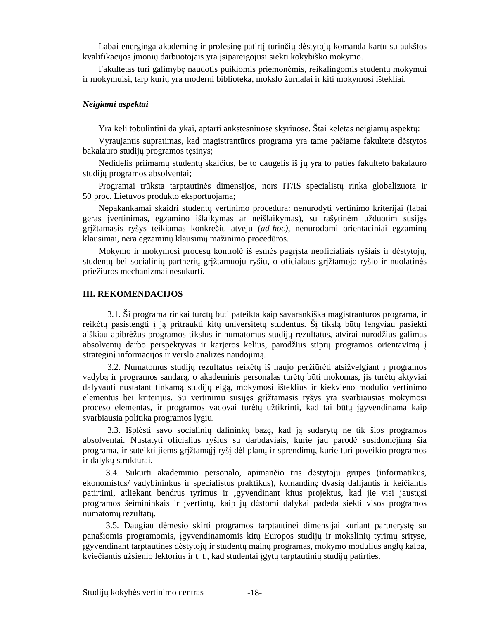Labai energinga akademinę ir profesinę patirtį turinčių dėstytojų komanda kartu su aukštos kvalifikacijos įmonių darbuotojais yra įsipareigojusi siekti kokybiško mokymo.

Fakultetas turi galimybę naudotis puikiomis priemonėmis, reikalingomis studentų mokymui ir mokymuisi, tarp kurių yra moderni biblioteka, mokslo žurnalai ir kiti mokymosi ištekliai.

#### *Neigiami aspektai*

Yra keli tobulintini dalykai, aptarti ankstesniuose skyriuose. Štai keletas neigiamų aspektų:

Vyraujantis supratimas, kad magistrantūros programa yra tame pačiame fakultete dėstytos bakalauro studijų programos tęsinys;

Nedidelis priimamų studentų skaičius, be to daugelis iš jų yra to paties fakulteto bakalauro studijų programos absolventai;

Programai trūksta tarptautinės dimensijos, nors IT/IS specialistų rinka globalizuota ir 50 proc. Lietuvos produkto eksportuojama;

Nepakankamai skaidri studentų vertinimo procedūra: nenurodyti vertinimo kriterijai (labai geras įvertinimas, egzamino išlaikymas ar neišlaikymas), su rašytinėm užduotim susijęs grįžtamasis ryšys teikiamas konkrečiu atveju (*ad-hoc)*, nenurodomi orientaciniai egzaminų klausimai, nėra egzaminų klausimų mažinimo procedūros.

Mokymo ir mokymosi procesų kontrolė iš esmės pagrįsta neoficialiais ryšiais ir dėstytojų, studentų bei socialinių partnerių grįžtamuoju ryšiu, o oficialaus grįžtamojo ryšio ir nuolatinės priežiūros mechanizmai nesukurti.

#### **III. REKOMENDACIJOS**

 3.1. Ši programa rinkai turėtų būti pateikta kaip savarankiška magistrantūros programa, ir reikėtų pasistengti į ją pritraukti kitų universitetų studentus. Šį tikslą būtų lengviau pasiekti aiškiau apibrėžus programos tikslus ir numatomus studijų rezultatus, atvirai nurodžius galimas absolventų darbo perspektyvas ir karjeros kelius, parodžius stiprų programos orientavimą į strateginį informacijos ir verslo analizės naudojimą.

 3.2. Numatomus studijų rezultatus reikėtų iš naujo peržiūrėti atsižvelgiant į programos vadybą ir programos sandarą, o akademinis personalas turėtų būti mokomas, jis turėtų aktyviai dalyvauti nustatant tinkamą studijų eigą, mokymosi išteklius ir kiekvieno modulio vertinimo elementus bei kriterijus. Su vertinimu susijęs grįžtamasis ryšys yra svarbiausias mokymosi proceso elementas, ir programos vadovai turėtų užtikrinti, kad tai būtų įgyvendinama kaip svarbiausia politika programos lygiu.

 3.3. Išplėsti savo socialinių dalininkų bazę, kad ją sudarytų ne tik šios programos absolventai. Nustatyti oficialius ryšius su darbdaviais, kurie jau parodė susidomėjimą šia programa, ir suteikti jiems grįžtamąjį ryšį dėl planų ir sprendimų, kurie turi poveikio programos ir dalykų struktūrai.

 3.4. Sukurti akademinio personalo, apimančio tris dėstytojų grupes (informatikus, ekonomistus/ vadybininkus ir specialistus praktikus), komandinę dvasią dalijantis ir keičiantis patirtimi, atliekant bendrus tyrimus ir įgyvendinant kitus projektus, kad jie visi jaustųsi programos šeimininkais ir įvertintų, kaip jų dėstomi dalykai padeda siekti visos programos numatomų rezultatų.

 3.5. Daugiau dėmesio skirti programos tarptautinei dimensijai kuriant partnerystę su panašiomis programomis, įgyvendinamomis kitų Europos studijų ir mokslinių tyrimų srityse, įgyvendinant tarptautines dėstytojų ir studentų mainų programas, mokymo modulius anglų kalba, kviečiantis užsienio lektorius ir t. t., kad studentai įgytų tarptautinių studijų patirties.